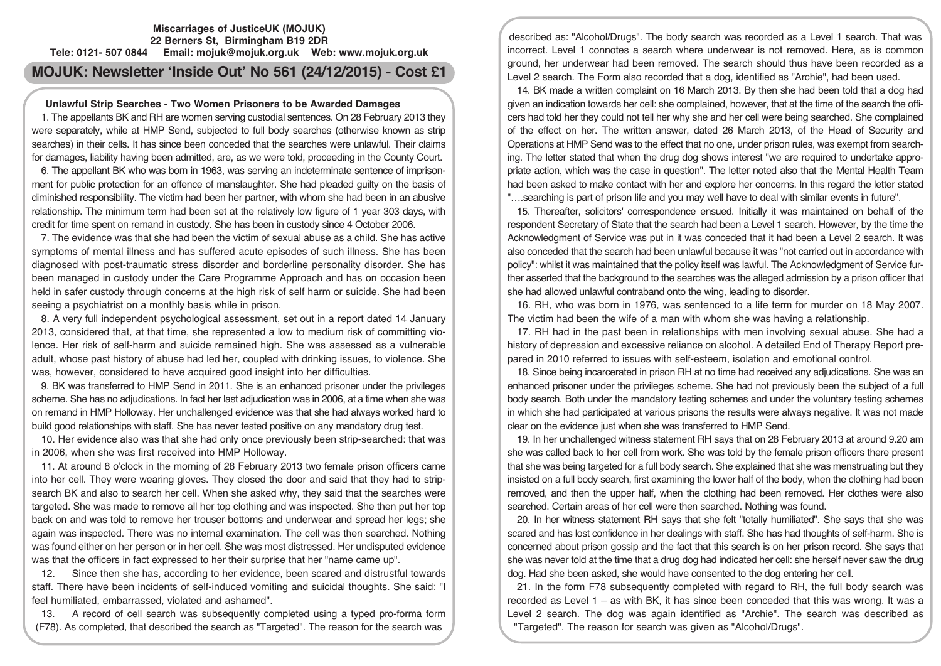#### **Miscarriages of JusticeUK (MOJUK) 22 Berners St, Birmingham B19 2DR Tele: 0121- 507 0844 Email: mojuk@mojuk.org.uk Web: www.mojuk.org.uk**

# **MOJUK: Newsletter 'Inside Out' No 561 (24/12/2015) - Cost £1**

# **Unlawful Strip Searches - Two Women Prisoners to be Awarded Damages**

1. The appellants BK and RH are women serving custodial sentences. On 28 February 2013 they were separately, while at HMP Send, subjected to full body searches (otherwise known as strip searches) in their cells. It has since been conceded that the searches were unlawful. Their claims for damages, liability having been admitted, are, as we were told, proceeding in the County Court.

6. The appellant BK who was born in 1963, was serving an indeterminate sentence of imprisonment for public protection for an offence of manslaughter. She had pleaded guilty on the basis of diminished responsibility. The victim had been her partner, with whom she had been in an abusive relationship. The minimum term had been set at the relatively low figure of 1 year 303 days, with credit for time spent on remand in custody. She has been in custody since 4 October 2006.

7. The evidence was that she had been the victim of sexual abuse as a child. She has active symptoms of mental illness and has suffered acute episodes of such illness. She has been diagnosed with post-traumatic stress disorder and borderline personality disorder. She has been managed in custody under the Care Programme Approach and has on occasion been held in safer custody through concerns at the high risk of self harm or suicide. She had been seeing a psychiatrist on a monthly basis while in prison.

8. A very full independent psychological assessment, set out in a report dated 14 January 2013, considered that, at that time, she represented a low to medium risk of committing violence. Her risk of self-harm and suicide remained high. She was assessed as a vulnerable adult, whose past history of abuse had led her, coupled with drinking issues, to violence. She was, however, considered to have acquired good insight into her difficulties.

9. BK was transferred to HMP Send in 2011. She is an enhanced prisoner under the privileges scheme. She has no adjudications. In fact her last adjudication was in 2006, at a time when she was on remand in HMP Holloway. Her unchallenged evidence was that she had always worked hard to build good relationships with staff. She has never tested positive on any mandatory drug test.

10. Her evidence also was that she had only once previously been strip-searched: that was in 2006, when she was first received into HMP Holloway.

11. At around 8 o'clock in the morning of 28 February 2013 two female prison officers came into her cell. They were wearing gloves. They closed the door and said that they had to stripsearch BK and also to search her cell. When she asked why, they said that the searches were targeted. She was made to remove all her top clothing and was inspected. She then put her top back on and was told to remove her trouser bottoms and underwear and spread her legs; she again was inspected. There was no internal examination. The cell was then searched. Nothing was found either on her person or in her cell. She was most distressed. Her undisputed evidence was that the officers in fact expressed to her their surprise that her "name came up".

12. Since then she has, according to her evidence, been scared and distrustful towards staff. There have been incidents of self-induced vomiting and suicidal thoughts. She said: "I feel humiliated, embarrassed, violated and ashamed".

13. A record of cell search was subsequently completed using a typed pro-forma form (F78). As completed, that described the search as "Targeted". The reason for the search was

described as: "Alcohol/Drugs". The body search was recorded as a Level 1 search. That was incorrect. Level 1 connotes a search where underwear is not removed. Here, as is common ground, her underwear had been removed. The search should thus have been recorded as a Level 2 search. The Form also recorded that a dog, identified as "Archie", had been used.

14. BK made a written complaint on 16 March 2013. By then she had been told that a dog had given an indication towards her cell: she complained, however, that at the time of the search the officers had told her they could not tell her why she and her cell were being searched. She complained of the effect on her. The written answer, dated 26 March 2013, of the Head of Security and Operations at HMP Send was to the effect that no one, under prison rules, was exempt from searching. The letter stated that when the drug dog shows interest "we are required to undertake appropriate action, which was the case in question". The letter noted also that the Mental Health Team had been asked to make contact with her and explore her concerns. In this regard the letter stated "….searching is part of prison life and you may well have to deal with similar events in future".

15. Thereafter, solicitors' correspondence ensued. Initially it was maintained on behalf of the respondent Secretary of State that the search had been a Level 1 search. However, by the time the Acknowledgment of Service was put in it was conceded that it had been a Level 2 search. It was also conceded that the search had been unlawful because it was "not carried out in accordance with policy": whilst it was maintained that the policy itself was lawful. The Acknowledgment of Service further asserted that the background to the searches was the alleged admission by a prison officer that she had allowed unlawful contraband onto the wing, leading to disorder.

16. RH, who was born in 1976, was sentenced to a life term for murder on 18 May 2007. The victim had been the wife of a man with whom she was having a relationship.

17. RH had in the past been in relationships with men involving sexual abuse. She had a history of depression and excessive reliance on alcohol. A detailed End of Therapy Report prepared in 2010 referred to issues with self-esteem, isolation and emotional control.

18. Since being incarcerated in prison RH at no time had received any adjudications. She was an enhanced prisoner under the privileges scheme. She had not previously been the subject of a full body search. Both under the mandatory testing schemes and under the voluntary testing schemes in which she had participated at various prisons the results were always negative. It was not made clear on the evidence just when she was transferred to HMP Send.

19. In her unchallenged witness statement RH says that on 28 February 2013 at around 9.20 am she was called back to her cell from work. She was told by the female prison officers there present that she was being targeted for a full body search. She explained that she was menstruating but they insisted on a full body search, first examining the lower half of the body, when the clothing had been removed, and then the upper half, when the clothing had been removed. Her clothes were also searched. Certain areas of her cell were then searched. Nothing was found.

20. In her witness statement RH says that she felt "totally humiliated". She says that she was scared and has lost confidence in her dealings with staff. She has had thoughts of self-harm. She is concerned about prison gossip and the fact that this search is on her prison record. She says that she was never told at the time that a drug dog had indicated her cell: she herself never saw the drug dog. Had she been asked, she would have consented to the dog entering her cell.

21. In the form F78 subsequently completed with regard to RH, the full body search was recorded as Level 1 – as with BK, it has since been conceded that this was wrong. It was a Level 2 search. The dog was again identified as "Archie". The search was described as "Targeted". The reason for search was given as "Alcohol/Drugs".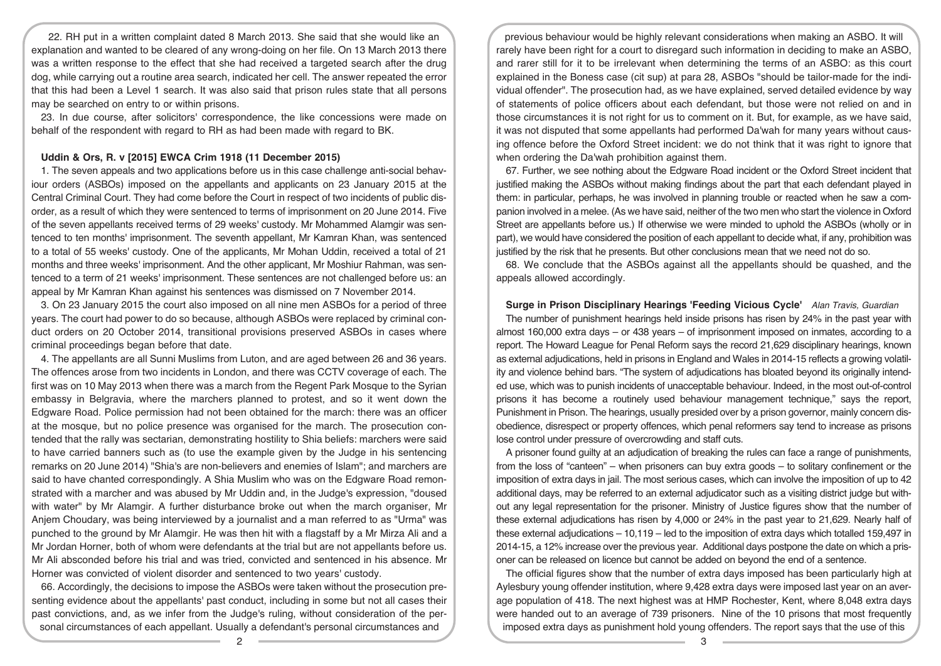22. RH put in a written complaint dated 8 March 2013. She said that she would like an explanation and wanted to be cleared of any wrong-doing on her file. On 13 March 2013 there was a written response to the effect that she had received a targeted search after the drug dog, while carrying out a routine area search, indicated her cell. The answer repeated the error that this had been a Level 1 search. It was also said that prison rules state that all persons may be searched on entry to or within prisons.

23. In due course, after solicitors' correspondence, the like concessions were made on behalf of the respondent with regard to RH as had been made with regard to BK.

#### **Uddin & Ors, R. v [2015] EWCA Crim 1918 (11 December 2015)**

1. The seven appeals and two applications before us in this case challenge anti-social behaviour orders (ASBOs) imposed on the appellants and applicants on 23 January 2015 at the Central Criminal Court. They had come before the Court in respect of two incidents of public disorder, as a result of which they were sentenced to terms of imprisonment on 20 June 2014. Five of the seven appellants received terms of 29 weeks' custody. Mr Mohammed Alamgir was sentenced to ten months' imprisonment. The seventh appellant, Mr Kamran Khan, was sentenced to a total of 55 weeks' custody. One of the applicants, Mr Mohan Uddin, received a total of 21 months and three weeks' imprisonment. And the other applicant, Mr Moshiur Rahman, was sentenced to a term of 21 weeks' imprisonment. These sentences are not challenged before us: an appeal by Mr Kamran Khan against his sentences was dismissed on 7 November 2014.

3. On 23 January 2015 the court also imposed on all nine men ASBOs for a period of three years. The court had power to do so because, although ASBOs were replaced by criminal conduct orders on 20 October 2014, transitional provisions preserved ASBOs in cases where criminal proceedings began before that date.

4. The appellants are all Sunni Muslims from Luton, and are aged between 26 and 36 years. The offences arose from two incidents in London, and there was CCTV coverage of each. The first was on 10 May 2013 when there was a march from the Regent Park Mosque to the Syrian embassy in Belgravia, where the marchers planned to protest, and so it went down the Edgware Road. Police permission had not been obtained for the march: there was an officer at the mosque, but no police presence was organised for the march. The prosecution contended that the rally was sectarian, demonstrating hostility to Shia beliefs: marchers were said to have carried banners such as (to use the example given by the Judge in his sentencing remarks on 20 June 2014) "Shia's are non-believers and enemies of Islam"; and marchers are said to have chanted correspondingly. A Shia Muslim who was on the Edgware Road remonstrated with a marcher and was abused by Mr Uddin and, in the Judge's expression, "doused with water" by Mr Alamgir. A further disturbance broke out when the march organiser, Mr Anjem Choudary, was being interviewed by a journalist and a man referred to as "Urma" was punched to the ground by Mr Alamgir. He was then hit with a flagstaff by a Mr Mirza Ali and a Mr Jordan Horner, both of whom were defendants at the trial but are not appellants before us. Mr Ali absconded before his trial and was tried, convicted and sentenced in his absence. Mr Horner was convicted of violent disorder and sentenced to two years' custody.

66. Accordingly, the decisions to impose the ASBOs were taken without the prosecution presenting evidence about the appellants' past conduct, including in some but not all cases their past convictions, and, as we infer from the Judge's ruling, without consideration of the personal circumstances of each appellant. Usually a defendant's personal circumstances and

previous behaviour would be highly relevant considerations when making an ASBO. It will rarely have been right for a court to disregard such information in deciding to make an ASBO, and rarer still for it to be irrelevant when determining the terms of an ASBO: as this court explained in the Boness case (cit sup) at para 28, ASBOs "should be tailor-made for the individual offender". The prosecution had, as we have explained, served detailed evidence by way of statements of police officers about each defendant, but those were not relied on and in those circumstances it is not right for us to comment on it. But, for example, as we have said, it was not disputed that some appellants had performed Da'wah for many years without causing offence before the Oxford Street incident: we do not think that it was right to ignore that when ordering the Da'wah prohibition against them.

67. Further, we see nothing about the Edgware Road incident or the Oxford Street incident that justified making the ASBOs without making findings about the part that each defendant played in them: in particular, perhaps, he was involved in planning trouble or reacted when he saw a companion involved in a melee. (As we have said, neither of the two men who start the violence in Oxford Street are appellants before us.) If otherwise we were minded to uphold the ASBOs (wholly or in part), we would have considered the position of each appellant to decide what, if any, prohibition was justified by the risk that he presents. But other conclusions mean that we need not do so.

68. We conclude that the ASBOs against all the appellants should be quashed, and the appeals allowed accordingly.

## **Surge in Prison Disciplinary Hearings 'Feeding Vicious Cycle'** *Alan Travis, Guardian*

The number of punishment hearings held inside prisons has risen by 24% in the past year with almost 160,000 extra days – or 438 years – of imprisonment imposed on inmates, according to a report. The Howard League for Penal Reform says the record 21,629 disciplinary hearings, known as external adjudications, held in prisons in England and Wales in 2014-15 reflects a growing volatility and violence behind bars. "The system of adjudications has bloated beyond its originally intended use, which was to punish incidents of unacceptable behaviour. Indeed, in the most out-of-control prisons it has become a routinely used behaviour management technique," says the report, Punishment in Prison. The hearings, usually presided over by a prison governor, mainly concern disobedience, disrespect or property offences, which penal reformers say tend to increase as prisons lose control under pressure of overcrowding and staff cuts.

A prisoner found guilty at an adjudication of breaking the rules can face a range of punishments, from the loss of "canteen" – when prisoners can buy extra goods – to solitary confinement or the imposition of extra days in jail. The most serious cases, which can involve the imposition of up to 42 additional days, may be referred to an external adjudicator such as a visiting district judge but without any legal representation for the prisoner. Ministry of Justice figures show that the number of these external adjudications has risen by 4,000 or 24% in the past year to 21,629. Nearly half of these external adjudications – 10,119 – led to the imposition of extra days which totalled 159,497 in 2014-15, a 12% increase over the previous year. Additional days postpone the date on which a prisoner can be released on licence but cannot be added on beyond the end of a sentence.

The official figures show that the number of extra days imposed has been particularly high at Aylesbury young offender institution, where 9,428 extra days were imposed last year on an average population of 418. The next highest was at HMP Rochester, Kent, where 8,048 extra days were handed out to an average of 739 prisoners. Nine of the 10 prisons that most frequently imposed extra days as punishment hold young offenders. The report says that the use of this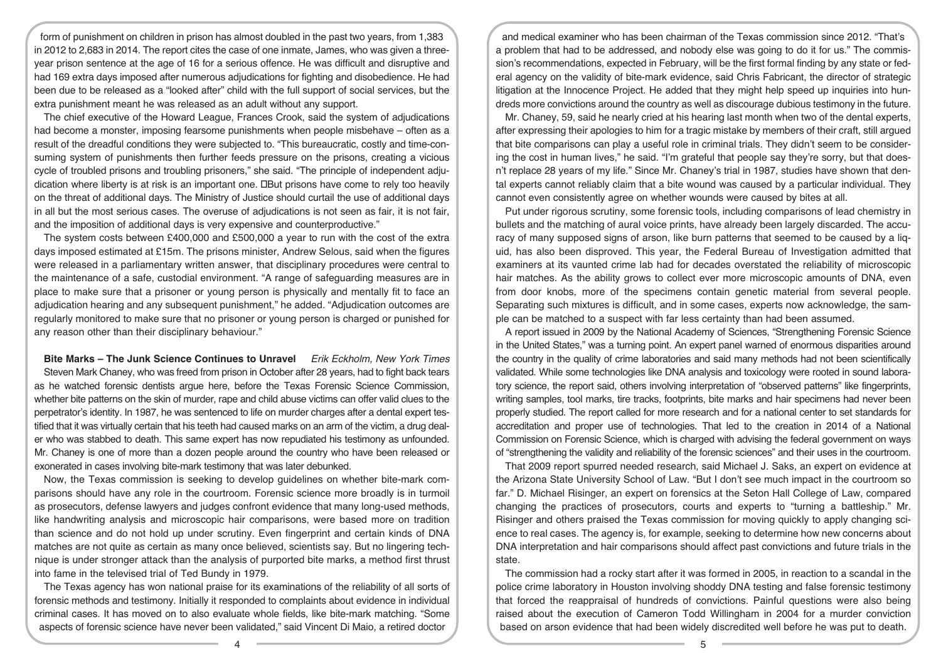form of punishment on children in prison has almost doubled in the past two years, from 1,383 in 2012 to 2,683 in 2014. The report cites the case of one inmate, James, who was given a threeyear prison sentence at the age of 16 for a serious offence. He was difficult and disruptive and had 169 extra days imposed after numerous adjudications for fighting and disobedience. He had been due to be released as a "looked after" child with the full support of social services, but the extra punishment meant he was released as an adult without any support.

The chief executive of the Howard League, Frances Crook, said the system of adjudications had become a monster, imposing fearsome punishments when people misbehave – often as a result of the dreadful conditions they were subjected to. "This bureaucratic, costly and time-consuming system of punishments then further feeds pressure on the prisons, creating a vicious cycle of troubled prisons and troubling prisoners," she said. "The principle of independent adjudication where liberty is at risk is an important one. But prisons have come to rely too heavily on the threat of additional days. The Ministry of Justice should curtail the use of additional days in all but the most serious cases. The overuse of adjudications is not seen as fair, it is not fair, and the imposition of additional days is very expensive and counterproductive."

The system costs between £400,000 and £500,000 a year to run with the cost of the extra days imposed estimated at £15m. The prisons minister, Andrew Selous, said when the figures were released in a parliamentary written answer, that disciplinary procedures were central to the maintenance of a safe, custodial environment. "A range of safeguarding measures are in place to make sure that a prisoner or young person is physically and mentally fit to face an adjudication hearing and any subsequent punishment," he added. "Adjudication outcomes are regularly monitored to make sure that no prisoner or young person is charged or punished for any reason other than their disciplinary behaviour."

**Bite Marks – The Junk Science Continues to Unravel** *Erik Eckholm, New York Times* Steven Mark Chaney, who was freed from prison in October after 28 years, had to fight back tears as he watched forensic dentists argue here, before the Texas Forensic Science Commission, whether bite patterns on the skin of murder, rape and child abuse victims can offer valid clues to the perpetrator's identity. In 1987, he was sentenced to life on murder charges after a dental expert testified that it was virtually certain that his teeth had caused marks on an arm of the victim, a drug dealer who was stabbed to death. This same expert has now repudiated his testimony as unfounded. Mr. Chaney is one of more than a dozen people around the country who have been released or exonerated in cases involving bite-mark testimony that was later debunked.

Now, the Texas commission is seeking to develop guidelines on whether bite-mark comparisons should have any role in the courtroom. Forensic science more broadly is in turmoil as prosecutors, defense lawyers and judges confront evidence that many long-used methods, like handwriting analysis and microscopic hair comparisons, were based more on tradition than science and do not hold up under scrutiny. Even fingerprint and certain kinds of DNA matches are not quite as certain as many once believed, scientists say. But no lingering technique is under stronger attack than the analysis of purported bite marks, a method first thrust into fame in the televised trial of Ted Bundy in 1979.

The Texas agency has won national praise for its examinations of the reliability of all sorts of forensic methods and testimony. Initially it responded to complaints about evidence in individual criminal cases. It has moved on to also evaluate whole fields, like bite-mark matching. "Some aspects of forensic science have never been validated," said Vincent Di Maio, a retired doctor

and medical examiner who has been chairman of the Texas commission since 2012. "That's a problem that had to be addressed, and nobody else was going to do it for us." The commission's recommendations, expected in February, will be the first formal finding by any state or federal agency on the validity of bite-mark evidence, said Chris Fabricant, the director of strategic litigation at the Innocence Project. He added that they might help speed up inquiries into hundreds more convictions around the country as well as discourage dubious testimony in the future.

Mr. Chaney, 59, said he nearly cried at his hearing last month when two of the dental experts, after expressing their apologies to him for a tragic mistake by members of their craft, still argued that bite comparisons can play a useful role in criminal trials. They didn't seem to be considering the cost in human lives," he said. "I'm grateful that people say they're sorry, but that doesn't replace 28 years of my life." Since Mr. Chaney's trial in 1987, studies have shown that dental experts cannot reliably claim that a bite wound was caused by a particular individual. They cannot even consistently agree on whether wounds were caused by bites at all.

Put under rigorous scrutiny, some forensic tools, including comparisons of lead chemistry in bullets and the matching of aural voice prints, have already been largely discarded. The accuracy of many supposed signs of arson, like burn patterns that seemed to be caused by a liquid, has also been disproved. This year, the Federal Bureau of Investigation admitted that examiners at its vaunted crime lab had for decades overstated the reliability of microscopic hair matches. As the ability grows to collect ever more microscopic amounts of DNA, even from door knobs, more of the specimens contain genetic material from several people. Separating such mixtures is difficult, and in some cases, experts now acknowledge, the sample can be matched to a suspect with far less certainty than had been assumed.

A report issued in 2009 by the National Academy of Sciences, "Strengthening Forensic Science in the United States," was a turning point. An expert panel warned of enormous disparities around the country in the quality of crime laboratories and said many methods had not been scientifically validated. While some technologies like DNA analysis and toxicology were rooted in sound laboratory science, the report said, others involving interpretation of "observed patterns" like fingerprints, writing samples, tool marks, tire tracks, footprints, bite marks and hair specimens had never been properly studied. The report called for more research and for a national center to set standards for accreditation and proper use of technologies. That led to the creation in 2014 of a National Commission on Forensic Science, which is charged with advising the federal government on ways of "strengthening the validity and reliability of the forensic sciences" and their uses in the courtroom.

That 2009 report spurred needed research, said Michael J. Saks, an expert on evidence at the Arizona State University School of Law. "But I don't see much impact in the courtroom so far." D. Michael Risinger, an expert on forensics at the Seton Hall College of Law, compared changing the practices of prosecutors, courts and experts to "turning a battleship." Mr. Risinger and others praised the Texas commission for moving quickly to apply changing science to real cases. The agency is, for example, seeking to determine how new concerns about DNA interpretation and hair comparisons should affect past convictions and future trials in the state.

The commission had a rocky start after it was formed in 2005, in reaction to a scandal in the police crime laboratory in Houston involving shoddy DNA testing and false forensic testimony that forced the reappraisal of hundreds of convictions. Painful questions were also being raised about the execution of Cameron Todd Willingham in 2004 for a murder conviction based on arson evidence that had been widely discredited well before he was put to death.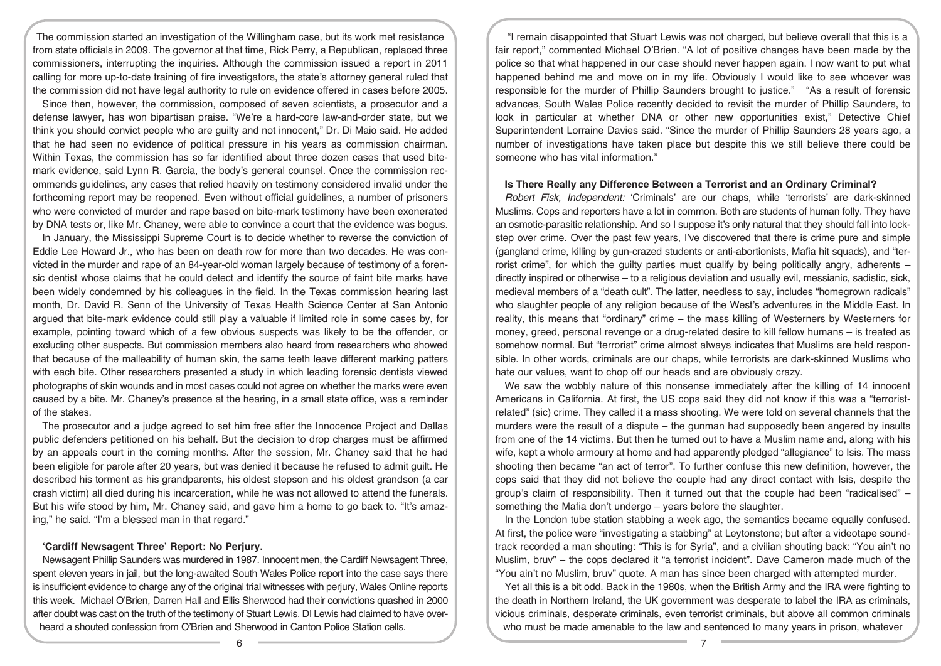The commission started an investigation of the Willingham case, but its work met resistance from state officials in 2009. The governor at that time, Rick Perry, a Republican, replaced three commissioners, interrupting the inquiries. Although the commission issued a report in 2011 calling for more up-to-date training of fire investigators, the state's attorney general ruled that the commission did not have legal authority to rule on evidence offered in cases before 2005.

Since then, however, the commission, composed of seven scientists, a prosecutor and a defense lawyer, has won bipartisan praise. "We're a hard-core law-and-order state, but we think you should convict people who are guilty and not innocent," Dr. Di Maio said. He added that he had seen no evidence of political pressure in his years as commission chairman. Within Texas, the commission has so far identified about three dozen cases that used bitemark evidence, said Lynn R. Garcia, the body's general counsel. Once the commission recommends guidelines, any cases that relied heavily on testimony considered invalid under the forthcoming report may be reopened. Even without official guidelines, a number of prisoners who were convicted of murder and rape based on bite-mark testimony have been exonerated by DNA tests or, like Mr. Chaney, were able to convince a court that the evidence was bogus.

In January, the Mississippi Supreme Court is to decide whether to reverse the conviction of Eddie Lee Howard Jr., who has been on death row for more than two decades. He was convicted in the murder and rape of an 84-year-old woman largely because of testimony of a forensic dentist whose claims that he could detect and identify the source of faint bite marks have been widely condemned by his colleagues in the field. In the Texas commission hearing last month, Dr. David R. Senn of the University of Texas Health Science Center at San Antonio argued that bite-mark evidence could still play a valuable if limited role in some cases by, for example, pointing toward which of a few obvious suspects was likely to be the offender, or excluding other suspects. But commission members also heard from researchers who showed that because of the malleability of human skin, the same teeth leave different marking patters with each bite. Other researchers presented a study in which leading forensic dentists viewed photographs of skin wounds and in most cases could not agree on whether the marks were even caused by a bite. Mr. Chaney's presence at the hearing, in a small state office, was a reminder of the stakes.

The prosecutor and a judge agreed to set him free after the Innocence Project and Dallas public defenders petitioned on his behalf. But the decision to drop charges must be affirmed by an appeals court in the coming months. After the session, Mr. Chaney said that he had been eligible for parole after 20 years, but was denied it because he refused to admit guilt. He described his torment as his grandparents, his oldest stepson and his oldest grandson (a car crash victim) all died during his incarceration, while he was not allowed to attend the funerals. But his wife stood by him, Mr. Chaney said, and gave him a home to go back to. "It's amazing," he said. "I'm a blessed man in that regard."

# **'Cardiff Newsagent Three' Report: No Perjury.**

Newsagent Phillip Saunders was murdered in 1987. Innocent men, the Cardiff Newsagent Three, spent eleven years in jail, but the long-awaited South Wales Police report into the case says there is insufficient evidence to charge any of the original trial witnesses with perjury, Wales Online reports this week. Michael O'Brien, Darren Hall and Ellis Sherwood had their convictions quashed in 2000 after doubt was cast on the truth of the testimony of Stuart Lewis. DI Lewis had claimed to have overheard a shouted confession from O'Brien and Sherwood in Canton Police Station cells.

"I remain disappointed that Stuart Lewis was not charged, but believe overall that this is a fair report," commented Michael O'Brien. "A lot of positive changes have been made by the police so that what happened in our case should never happen again. I now want to put what happened behind me and move on in my life. Obviously I would like to see whoever was responsible for the murder of Phillip Saunders brought to justice." "As a result of forensic advances, South Wales Police recently decided to revisit the murder of Phillip Saunders, to look in particular at whether DNA or other new opportunities exist," Detective Chief Superintendent Lorraine Davies said. "Since the murder of Phillip Saunders 28 years ago, a number of investigations have taken place but despite this we still believe there could be someone who has vital information."

# **Is There Really any Difference Between a Terrorist and an Ordinary Criminal?**

*Robert Fisk, Independent:* 'Criminals' are our chaps, while 'terrorists' are dark-skinned Muslims. Cops and reporters have a lot in common. Both are students of human folly. They have an osmotic-parasitic relationship. And so I suppose it's only natural that they should fall into lockstep over crime. Over the past few years, I've discovered that there is crime pure and simple (gangland crime, killing by gun-crazed students or anti-abortionists, Mafia hit squads), and "terrorist crime", for which the guilty parties must qualify by being politically angry, adherents – directly inspired or otherwise – to a religious deviation and usually evil, messianic, sadistic, sick, medieval members of a "death cult". The latter, needless to say, includes "homegrown radicals" who slaughter people of any religion because of the West's adventures in the Middle East. In reality, this means that "ordinary" crime – the mass killing of Westerners by Westerners for money, greed, personal revenge or a drug-related desire to kill fellow humans – is treated as somehow normal. But "terrorist" crime almost always indicates that Muslims are held responsible. In other words, criminals are our chaps, while terrorists are dark-skinned Muslims who hate our values, want to chop off our heads and are obviously crazy.

We saw the wobbly nature of this nonsense immediately after the killing of 14 innocent Americans in California. At first, the US cops said they did not know if this was a "terroristrelated" (sic) crime. They called it a mass shooting. We were told on several channels that the murders were the result of a dispute – the gunman had supposedly been angered by insults from one of the 14 victims. But then he turned out to have a Muslim name and, along with his wife, kept a whole armoury at home and had apparently pledged "allegiance" to Isis. The mass shooting then became "an act of terror". To further confuse this new definition, however, the cops said that they did not believe the couple had any direct contact with Isis, despite the group's claim of responsibility. Then it turned out that the couple had been "radicalised" – something the Mafia don't undergo – years before the slaughter.

In the London tube station stabbing a week ago, the semantics became equally confused. At first, the police were "investigating a stabbing" at Leytonstone; but after a videotape soundtrack recorded a man shouting: "This is for Syria", and a civilian shouting back: "You ain't no Muslim, bruv" – the cops declared it "a terrorist incident". Dave Cameron made much of the "You ain't no Muslim, bruv" quote. A man has since been charged with attempted murder.

Yet all this is a bit odd. Back in the 1980s, when the British Army and the IRA were fighting to the death in Northern Ireland, the UK government was desperate to label the IRA as criminals, vicious criminals, desperate criminals, even terrorist criminals, but above all common criminals who must be made amenable to the law and sentenced to many years in prison, whatever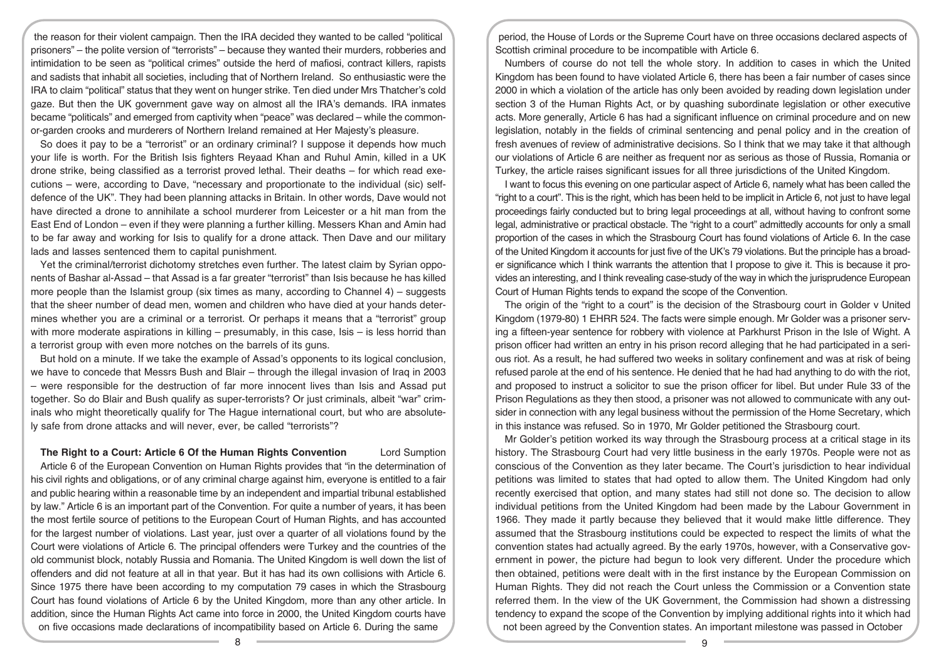the reason for their violent campaign. Then the IRA decided they wanted to be called "political prisoners" – the polite version of "terrorists" – because they wanted their murders, robberies and intimidation to be seen as "political crimes" outside the herd of mafiosi, contract killers, rapists and sadists that inhabit all societies, including that of Northern Ireland. So enthusiastic were the IRA to claim "political" status that they went on hunger strike. Ten died under Mrs Thatcher's cold gaze. But then the UK government gave way on almost all the IRA's demands. IRA inmates became "politicals" and emerged from captivity when "peace" was declared – while the commonor-garden crooks and murderers of Northern Ireland remained at Her Majesty's pleasure.

So does it pay to be a "terrorist" or an ordinary criminal? I suppose it depends how much your life is worth. For the British Isis fighters Reyaad Khan and Ruhul Amin, killed in a UK drone strike, being classified as a terrorist proved lethal. Their deaths – for which read executions – were, according to Dave, "necessary and proportionate to the individual (sic) selfdefence of the UK". They had been planning attacks in Britain. In other words, Dave would not have directed a drone to annihilate a school murderer from Leicester or a hit man from the East End of London – even if they were planning a further killing. Messers Khan and Amin had to be far away and working for Isis to qualify for a drone attack. Then Dave and our military lads and lasses sentenced them to capital punishment.

Yet the criminal/terrorist dichotomy stretches even further. The latest claim by Syrian opponents of Bashar al-Assad – that Assad is a far greater "terrorist" than Isis because he has killed more people than the Islamist group (six times as many, according to Channel  $4$ ) – suggests that the sheer number of dead men, women and children who have died at your hands determines whether you are a criminal or a terrorist. Or perhaps it means that a "terrorist" group with more moderate aspirations in killing – presumably, in this case,  $\text{Isis}$  – is less horrid than a terrorist group with even more notches on the barrels of its guns.

But hold on a minute. If we take the example of Assad's opponents to its logical conclusion, we have to concede that Messrs Bush and Blair – through the illegal invasion of Iraq in 2003 – were responsible for the destruction of far more innocent lives than Isis and Assad put together. So do Blair and Bush qualify as super-terrorists? Or just criminals, albeit "war" criminals who might theoretically qualify for The Hague international court, but who are absolutely safe from drone attacks and will never, ever, be called "terrorists"?

# **The Right to a Court: Article 6 Of the Human Rights Convention** Lord Sumption

Article 6 of the European Convention on Human Rights provides that "in the determination of his civil rights and obligations, or of any criminal charge against him, everyone is entitled to a fair and public hearing within a reasonable time by an independent and impartial tribunal established by law." Article 6 is an important part of the Convention. For quite a number of years, it has been the most fertile source of petitions to the European Court of Human Rights, and has accounted for the largest number of violations. Last year, just over a quarter of all violations found by the Court were violations of Article 6. The principal offenders were Turkey and the countries of the old communist block, notably Russia and Romania. The United Kingdom is well down the list of offenders and did not feature at all in that year. But it has had its own collisions with Article 6. Since 1975 there have been according to my computation 79 cases in which the Strasbourg Court has found violations of Article 6 by the United Kingdom, more than any other article. In addition, since the Human Rights Act came into force in 2000, the United Kingdom courts have on five occasions made declarations of incompatibility based on Article 6. During the same

period, the House of Lords or the Supreme Court have on three occasions declared aspects of Scottish criminal procedure to be incompatible with Article 6.

Numbers of course do not tell the whole story. In addition to cases in which the United Kingdom has been found to have violated Article 6, there has been a fair number of cases since 2000 in which a violation of the article has only been avoided by reading down legislation under section 3 of the Human Rights Act, or by quashing subordinate legislation or other executive acts. More generally, Article 6 has had a significant influence on criminal procedure and on new legislation, notably in the fields of criminal sentencing and penal policy and in the creation of fresh avenues of review of administrative decisions. So I think that we may take it that although our violations of Article 6 are neither as frequent nor as serious as those of Russia, Romania or Turkey, the article raises significant issues for all three jurisdictions of the United Kingdom.

I want to focus this evening on one particular aspect of Article 6, namely what has been called the "right to a court". This is the right, which has been held to be implicit in Article 6, not just to have legal proceedings fairly conducted but to bring legal proceedings at all, without having to confront some legal, administrative or practical obstacle. The "right to a court" admittedly accounts for only a small proportion of the cases in which the Strasbourg Court has found violations of Article 6. In the case of the United Kingdom it accounts for just five of the UK's 79 violations. But the principle has a broader significance which I think warrants the attention that I propose to give it. This is because it provides an interesting, and I think revealing case-study of the way in which the jurisprudence European Court of Human Rights tends to expand the scope of the Convention.

The origin of the "right to a court" is the decision of the Strasbourg court in Golder v United Kingdom (1979-80) 1 EHRR 524. The facts were simple enough. Mr Golder was a prisoner serving a fifteen-year sentence for robbery with violence at Parkhurst Prison in the Isle of Wight. A prison officer had written an entry in his prison record alleging that he had participated in a serious riot. As a result, he had suffered two weeks in solitary confinement and was at risk of being refused parole at the end of his sentence. He denied that he had had anything to do with the riot, and proposed to instruct a solicitor to sue the prison officer for libel. But under Rule 33 of the Prison Regulations as they then stood, a prisoner was not allowed to communicate with any outsider in connection with any legal business without the permission of the Home Secretary, which in this instance was refused. So in 1970, Mr Golder petitioned the Strasbourg court.

Mr Golder's petition worked its way through the Strasbourg process at a critical stage in its history. The Strasbourg Court had very little business in the early 1970s. People were not as conscious of the Convention as they later became. The Court's jurisdiction to hear individual petitions was limited to states that had opted to allow them. The United Kingdom had only recently exercised that option, and many states had still not done so. The decision to allow individual petitions from the United Kingdom had been made by the Labour Government in 1966. They made it partly because they believed that it would make little difference. They assumed that the Strasbourg institutions could be expected to respect the limits of what the convention states had actually agreed. By the early 1970s, however, with a Conservative government in power, the picture had begun to look very different. Under the procedure which then obtained, petitions were dealt with in the first instance by the European Commission on Human Rights. They did not reach the Court unless the Commission or a Convention state referred them. In the view of the UK Government, the Commission had shown a distressing tendency to expand the scope of the Convention by implying additional rights into it which had not been agreed by the Convention states. An important milestone was passed in October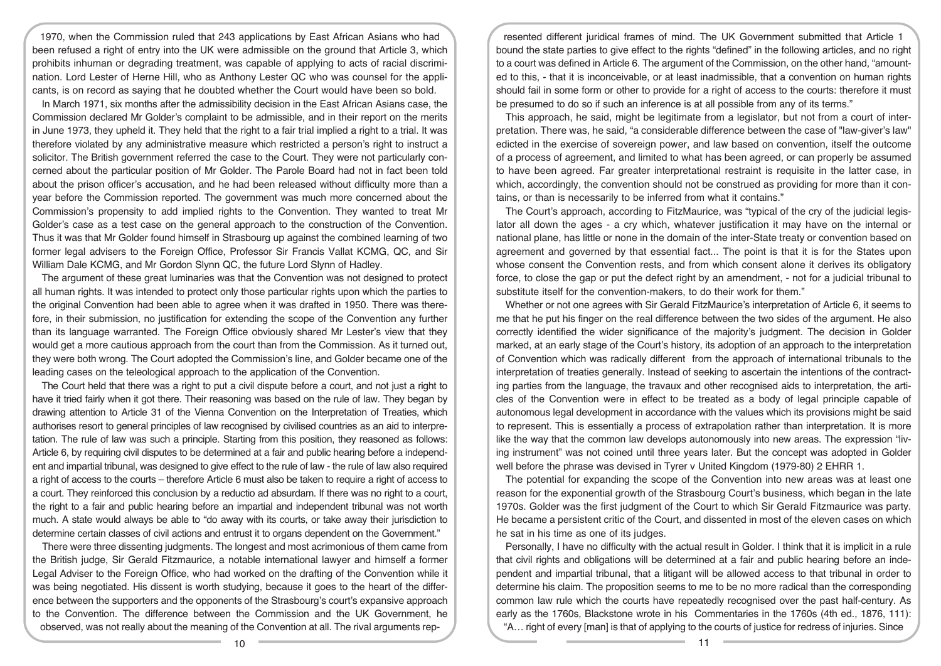1970, when the Commission ruled that 243 applications by East African Asians who had been refused a right of entry into the UK were admissible on the ground that Article 3, which prohibits inhuman or degrading treatment, was capable of applying to acts of racial discrimination. Lord Lester of Herne Hill, who as Anthony Lester QC who was counsel for the applicants, is on record as saying that he doubted whether the Court would have been so bold.

In March 1971, six months after the admissibility decision in the East African Asians case, the Commission declared Mr Golder's complaint to be admissible, and in their report on the merits in June 1973, they upheld it. They held that the right to a fair trial implied a right to a trial. It was therefore violated by any administrative measure which restricted a person's right to instruct a solicitor. The British government referred the case to the Court. They were not particularly concerned about the particular position of Mr Golder. The Parole Board had not in fact been told about the prison officer's accusation, and he had been released without difficulty more than a year before the Commission reported. The government was much more concerned about the Commission's propensity to add implied rights to the Convention. They wanted to treat Mr Golder's case as a test case on the general approach to the construction of the Convention. Thus it was that Mr Golder found himself in Strasbourg up against the combined learning of two former legal advisers to the Foreign Office, Professor Sir Francis Vallat KCMG, QC, and Sir William Dale KCMG, and Mr Gordon Slynn QC, the future Lord Slynn of Hadley.

The argument of these great luminaries was that the Convention was not designed to protect all human rights. It was intended to protect only those particular rights upon which the parties to the original Convention had been able to agree when it was drafted in 1950. There was therefore, in their submission, no justification for extending the scope of the Convention any further than its language warranted. The Foreign Office obviously shared Mr Lester's view that they would get a more cautious approach from the court than from the Commission. As it turned out, they were both wrong. The Court adopted the Commission's line, and Golder became one of the leading cases on the teleological approach to the application of the Convention.

The Court held that there was a right to put a civil dispute before a court, and not just a right to have it tried fairly when it got there. Their reasoning was based on the rule of law. They began by drawing attention to Article 31 of the Vienna Convention on the Interpretation of Treaties, which authorises resort to general principles of law recognised by civilised countries as an aid to interpretation. The rule of law was such a principle. Starting from this position, they reasoned as follows: Article 6, by requiring civil disputes to be determined at a fair and public hearing before a independent and impartial tribunal, was designed to give effect to the rule of law - the rule of law also required a right of access to the courts – therefore Article 6 must also be taken to require a right of access to a court. They reinforced this conclusion by a reductio ad absurdam. If there was no right to a court, the right to a fair and public hearing before an impartial and independent tribunal was not worth much. A state would always be able to "do away with its courts, or take away their jurisdiction to determine certain classes of civil actions and entrust it to organs dependent on the Government."

There were three dissenting judgments. The longest and most acrimonious of them came from the British judge, Sir Gerald Fitzmaurice, a notable international lawyer and himself a former Legal Adviser to the Foreign Office, who had worked on the drafting of the Convention while it was being negotiated. His dissent is worth studying, because it goes to the heart of the difference between the supporters and the opponents of the Strasbourg's court's expansive approach to the Convention. The difference between the Commission and the UK Government, he observed, was not really about the meaning of the Convention at all. The rival arguments rep-

resented different juridical frames of mind. The UK Government submitted that Article 1 bound the state parties to give effect to the rights "defined" in the following articles, and no right to a court was defined in Article 6. The argument of the Commission, on the other hand, "amounted to this, - that it is inconceivable, or at least inadmissible, that a convention on human rights should fail in some form or other to provide for a right of access to the courts: therefore it must be presumed to do so if such an inference is at all possible from any of its terms."

This approach, he said, might be legitimate from a legislator, but not from a court of interpretation. There was, he said, "a considerable difference between the case of "law-giver's law" edicted in the exercise of sovereign power, and law based on convention, itself the outcome of a process of agreement, and limited to what has been agreed, or can properly be assumed to have been agreed. Far greater interpretational restraint is requisite in the latter case, in which, accordingly, the convention should not be construed as providing for more than it contains, or than is necessarily to be inferred from what it contains."

The Court's approach, according to FitzMaurice, was "typical of the cry of the judicial legislator all down the ages - a cry which, whatever justification it may have on the internal or national plane, has little or none in the domain of the inter-State treaty or convention based on agreement and governed by that essential fact... The point is that it is for the States upon whose consent the Convention rests, and from which consent alone it derives its obligatory force, to close the gap or put the defect right by an amendment, - not for a judicial tribunal to substitute itself for the convention-makers, to do their work for them."

Whether or not one agrees with Sir Gerald FitzMaurice's interpretation of Article 6, it seems to me that he put his finger on the real difference between the two sides of the argument. He also correctly identified the wider significance of the majority's judgment. The decision in Golder marked, at an early stage of the Court's history, its adoption of an approach to the interpretation of Convention which was radically different from the approach of international tribunals to the interpretation of treaties generally. Instead of seeking to ascertain the intentions of the contracting parties from the language, the travaux and other recognised aids to interpretation, the articles of the Convention were in effect to be treated as a body of legal principle capable of autonomous legal development in accordance with the values which its provisions might be said to represent. This is essentially a process of extrapolation rather than interpretation. It is more like the way that the common law develops autonomously into new areas. The expression "living instrument" was not coined until three years later. But the concept was adopted in Golder well before the phrase was devised in Tyrer v United Kingdom (1979-80) 2 EHRR 1.

The potential for expanding the scope of the Convention into new areas was at least one reason for the exponential growth of the Strasbourg Court's business, which began in the late 1970s. Golder was the first judgment of the Court to which Sir Gerald Fitzmaurice was party. He became a persistent critic of the Court, and dissented in most of the eleven cases on which he sat in his time as one of its judges.

Personally, I have no difficulty with the actual result in Golder. I think that it is implicit in a rule that civil rights and obligations will be determined at a fair and public hearing before an independent and impartial tribunal, that a litigant will be allowed access to that tribunal in order to determine his claim. The proposition seems to me to be no more radical than the corresponding common law rule which the courts have repeatedly recognised over the past half-century. As early as the 1760s, Blackstone wrote in his Commentaries in the 1760s (4th ed., 1876, 111): "A… right of every [man] is that of applying to the courts of justice for redress of injuries. Since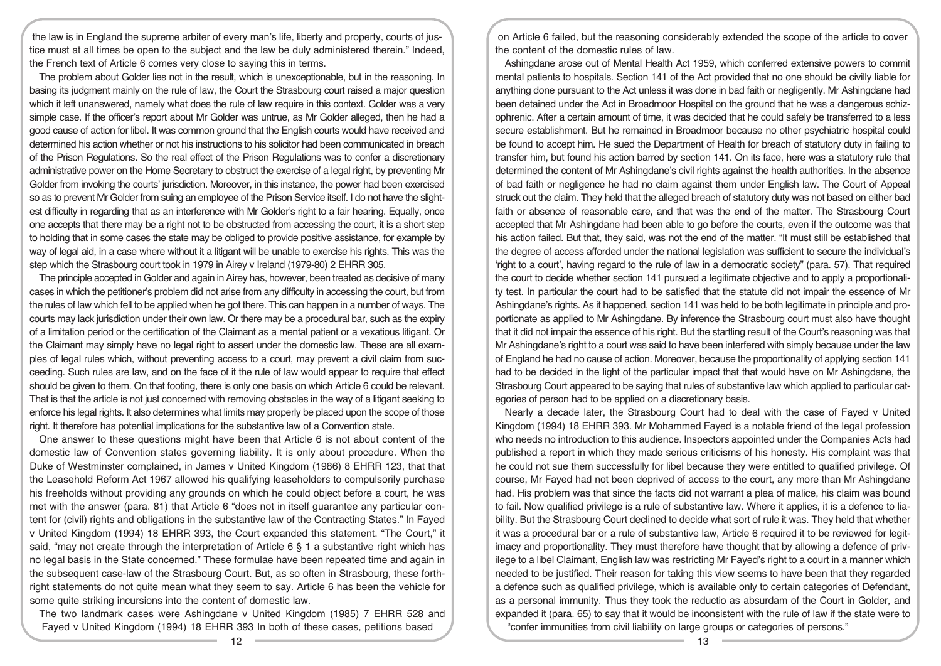the law is in England the supreme arbiter of every man's life, liberty and property, courts of justice must at all times be open to the subject and the law be duly administered therein." Indeed, the French text of Article 6 comes very close to saying this in terms.

The problem about Golder lies not in the result, which is unexceptionable, but in the reasoning. In basing its judgment mainly on the rule of law, the Court the Strasbourg court raised a major question which it left unanswered, namely what does the rule of law require in this context. Golder was a very simple case. If the officer's report about Mr Golder was untrue, as Mr Golder alleged, then he had a good cause of action for libel. It was common ground that the English courts would have received and determined his action whether or not his instructions to his solicitor had been communicated in breach of the Prison Regulations. So the real effect of the Prison Regulations was to confer a discretionary administrative power on the Home Secretary to obstruct the exercise of a legal right, by preventing Mr Golder from invoking the courts' jurisdiction. Moreover, in this instance, the power had been exercised so as to prevent Mr Golder from suing an employee of the Prison Service itself. I do not have the slightest difficulty in regarding that as an interference with Mr Golder's right to a fair hearing. Equally, once one accepts that there may be a right not to be obstructed from accessing the court, it is a short step to holding that in some cases the state may be obliged to provide positive assistance, for example by way of legal aid, in a case where without it a litigant will be unable to exercise his rights. This was the step which the Strasbourg court took in 1979 in Airey v Ireland (1979-80) 2 EHRR 305.

The principle accepted in Golder and again in Airey has, however, been treated as decisive of many cases in which the petitioner's problem did not arise from any difficulty in accessing the court, but from the rules of law which fell to be applied when he got there. This can happen in a number of ways. The courts may lack jurisdiction under their own law. Or there may be a procedural bar, such as the expiry of a limitation period or the certification of the Claimant as a mental patient or a vexatious litigant. Or the Claimant may simply have no legal right to assert under the domestic law. These are all examples of legal rules which, without preventing access to a court, may prevent a civil claim from succeeding. Such rules are law, and on the face of it the rule of law would appear to require that effect should be given to them. On that footing, there is only one basis on which Article 6 could be relevant. That is that the article is not just concerned with removing obstacles in the way of a litigant seeking to enforce his legal rights. It also determines what limits may properly be placed upon the scope of those right. It therefore has potential implications for the substantive law of a Convention state.

One answer to these questions might have been that Article 6 is not about content of the domestic law of Convention states governing liability. It is only about procedure. When the Duke of Westminster complained, in James v United Kingdom (1986) 8 EHRR 123, that that the Leasehold Reform Act 1967 allowed his qualifying leaseholders to compulsorily purchase his freeholds without providing any grounds on which he could object before a court, he was met with the answer (para. 81) that Article 6 "does not in itself guarantee any particular content for (civil) rights and obligations in the substantive law of the Contracting States." In Fayed v United Kingdom (1994) 18 EHRR 393, the Court expanded this statement. "The Court," it said, "may not create through the interpretation of Article 6  $\S$  1 a substantive right which has no legal basis in the State concerned." These formulae have been repeated time and again in the subsequent case-law of the Strasbourg Court. But, as so often in Strasbourg, these forthright statements do not quite mean what they seem to say. Article 6 has been the vehicle for some quite striking incursions into the content of domestic law.

The two landmark cases were Ashingdane v United Kingdom (1985) 7 EHRR 528 and Fayed v United Kingdom (1994) 18 EHRR 393 In both of these cases, petitions based

on Article 6 failed, but the reasoning considerably extended the scope of the article to cover the content of the domestic rules of law.

Ashingdane arose out of Mental Health Act 1959, which conferred extensive powers to commit mental patients to hospitals. Section 141 of the Act provided that no one should be civilly liable for anything done pursuant to the Act unless it was done in bad faith or negligently. Mr Ashingdane had been detained under the Act in Broadmoor Hospital on the ground that he was a dangerous schizophrenic. After a certain amount of time, it was decided that he could safely be transferred to a less secure establishment. But he remained in Broadmoor because no other psychiatric hospital could be found to accept him. He sued the Department of Health for breach of statutory duty in failing to transfer him, but found his action barred by section 141. On its face, here was a statutory rule that determined the content of Mr Ashingdane's civil rights against the health authorities. In the absence of bad faith or negligence he had no claim against them under English law. The Court of Appeal struck out the claim. They held that the alleged breach of statutory duty was not based on either bad faith or absence of reasonable care, and that was the end of the matter. The Strasbourg Court accepted that Mr Ashingdane had been able to go before the courts, even if the outcome was that his action failed. But that, they said, was not the end of the matter. "It must still be established that the degree of access afforded under the national legislation was sufficient to secure the individual's 'right to a court', having regard to the rule of law in a democratic society" (para. 57). That required the court to decide whether section 141 pursued a legitimate objective and to apply a proportionality test. In particular the court had to be satisfied that the statute did not impair the essence of Mr Ashingdane's rights. As it happened, section 141 was held to be both legitimate in principle and proportionate as applied to Mr Ashingdane. By inference the Strasbourg court must also have thought that it did not impair the essence of his right. But the startling result of the Court's reasoning was that Mr Ashingdane's right to a court was said to have been interfered with simply because under the law of England he had no cause of action. Moreover, because the proportionality of applying section 141 had to be decided in the light of the particular impact that that would have on Mr Ashingdane, the Strasbourg Court appeared to be saying that rules of substantive law which applied to particular categories of person had to be applied on a discretionary basis.

Nearly a decade later, the Strasbourg Court had to deal with the case of Fayed v United Kingdom (1994) 18 EHRR 393. Mr Mohammed Fayed is a notable friend of the legal profession who needs no introduction to this audience. Inspectors appointed under the Companies Acts had published a report in which they made serious criticisms of his honesty. His complaint was that he could not sue them successfully for libel because they were entitled to qualified privilege. Of course, Mr Fayed had not been deprived of access to the court, any more than Mr Ashingdane had. His problem was that since the facts did not warrant a plea of malice, his claim was bound to fail. Now qualified privilege is a rule of substantive law. Where it applies, it is a defence to liability. But the Strasbourg Court declined to decide what sort of rule it was. They held that whether it was a procedural bar or a rule of substantive law, Article 6 required it to be reviewed for legitimacy and proportionality. They must therefore have thought that by allowing a defence of privilege to a libel Claimant, English law was restricting Mr Fayed's right to a court in a manner which needed to be justified. Their reason for taking this view seems to have been that they regarded a defence such as qualified privilege, which is available only to certain categories of Defendant, as a personal immunity. Thus they took the reductio as absurdam of the Court in Golder, and expanded it (para. 65) to say that it would be inconsistent with the rule of law if the state were to "confer immunities from civil liability on large groups or categories of persons."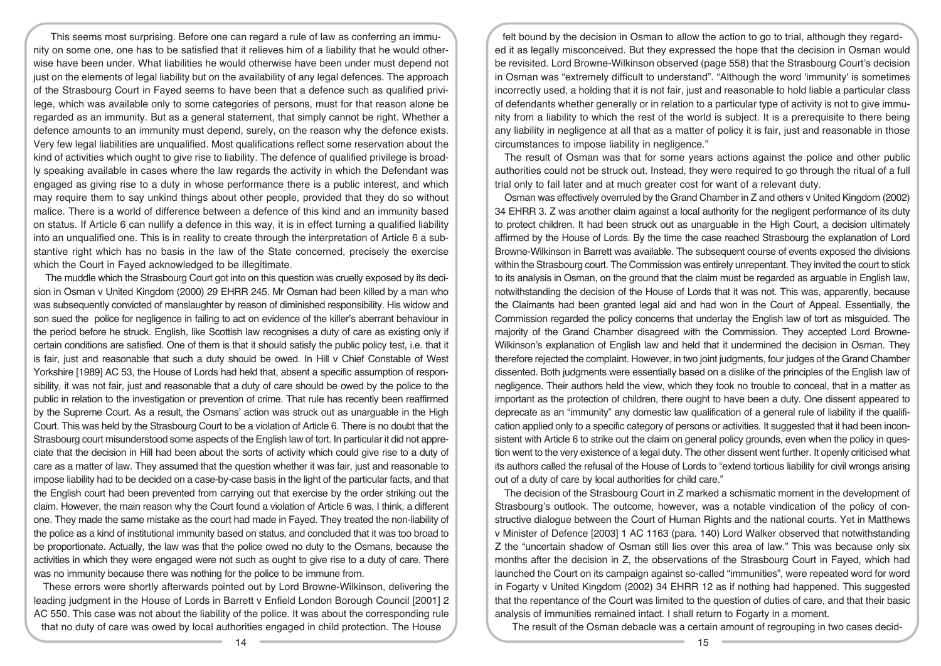This seems most surprising. Before one can regard a rule of law as conferring an immunity on some one, one has to be satisfied that it relieves him of a liability that he would otherwise have been under. What liabilities he would otherwise have been under must depend not just on the elements of legal liability but on the availability of any legal defences. The approach of the Strasbourg Court in Fayed seems to have been that a defence such as qualified privilege, which was available only to some categories of persons, must for that reason alone be regarded as an immunity. But as a general statement, that simply cannot be right. Whether a defence amounts to an immunity must depend, surely, on the reason why the defence exists. Very few legal liabilities are unqualified. Most qualifications reflect some reservation about the kind of activities which ought to give rise to liability. The defence of qualified privilege is broadly speaking available in cases where the law regards the activity in which the Defendant was engaged as giving rise to a duty in whose performance there is a public interest, and which may require them to say unkind things about other people, provided that they do so without malice. There is a world of difference between a defence of this kind and an immunity based on status. If Article 6 can nullify a defence in this way, it is in effect turning a qualified liability into an unqualified one. This is in reality to create through the interpretation of Article 6 a substantive right which has no basis in the law of the State concerned, precisely the exercise which the Court in Fayed acknowledged to be illegitimate.

The muddle which the Strasbourg Court got into on this question was cruelly exposed by its decision in Osman v United Kingdom (2000) 29 EHRR 245. Mr Osman had been killed by a man who was subsequently convicted of manslaughter by reason of diminished responsibility. His widow and son sued the police for negligence in failing to act on evidence of the killer's aberrant behaviour in the period before he struck. English, like Scottish law recognises a duty of care as existing only if certain conditions are satisfied. One of them is that it should satisfy the public policy test, i.e. that it is fair, just and reasonable that such a duty should be owed. In Hill v Chief Constable of West Yorkshire [1989] AC 53, the House of Lords had held that, absent a specific assumption of responsibility, it was not fair, just and reasonable that a duty of care should be owed by the police to the public in relation to the investigation or prevention of crime. That rule has recently been reaffirmed by the Supreme Court. As a result, the Osmans' action was struck out as unarguable in the High Court. This was held by the Strasbourg Court to be a violation of Article 6. There is no doubt that the Strasbourg court misunderstood some aspects of the English law of tort. In particular it did not appreciate that the decision in Hill had been about the sorts of activity which could give rise to a duty of care as a matter of law. They assumed that the question whether it was fair, just and reasonable to impose liability had to be decided on a case-by-case basis in the light of the particular facts, and that the English court had been prevented from carrying out that exercise by the order striking out the claim. However, the main reason why the Court found a violation of Article 6 was, I think, a different one. They made the same mistake as the court had made in Fayed. They treated the non-liability of the police as a kind of institutional immunity based on status, and concluded that it was too broad to be proportionate. Actually, the law was that the police owed no duty to the Osmans, because the activities in which they were engaged were not such as ought to give rise to a duty of care. There was no immunity because there was nothing for the police to be immune from.

These errors were shortly afterwards pointed out by Lord Browne-Wilkinson, delivering the leading judgment in the House of Lords in Barrett v Enfield London Borough Council [2001] 2 AC 550. This case was not about the liability of the police. It was about the corresponding rule that no duty of care was owed by local authorities engaged in child protection. The House

felt bound by the decision in Osman to allow the action to go to trial, although they regarded it as legally misconceived. But they expressed the hope that the decision in Osman would be revisited. Lord Browne-Wilkinson observed (page 558) that the Strasbourg Court's decision in Osman was "extremely difficult to understand". "Although the word 'immunity' is sometimes incorrectly used, a holding that it is not fair, just and reasonable to hold liable a particular class of defendants whether generally or in relation to a particular type of activity is not to give immunity from a liability to which the rest of the world is subject. It is a prerequisite to there being any liability in negligence at all that as a matter of policy it is fair, just and reasonable in those circumstances to impose liability in negligence."

The result of Osman was that for some years actions against the police and other public authorities could not be struck out. Instead, they were required to go through the ritual of a full trial only to fail later and at much greater cost for want of a relevant duty.

Osman was effectively overruled by the Grand Chamber in Z and others v United Kingdom (2002) 34 EHRR 3. Z was another claim against a local authority for the negligent performance of its duty to protect children. It had been struck out as unarguable in the High Court, a decision ultimately affirmed by the House of Lords. By the time the case reached Strasbourg the explanation of Lord Browne-Wilkinson in Barrett was available. The subsequent course of events exposed the divisions within the Strasbourg court. The Commission was entirely unrepentant. They invited the court to stick to its analysis in Osman, on the ground that the claim must be regarded as arguable in English law, notwithstanding the decision of the House of Lords that it was not. This was, apparently, because the Claimants had been granted legal aid and had won in the Court of Appeal. Essentially, the Commission regarded the policy concerns that underlay the English law of tort as misguided. The majority of the Grand Chamber disagreed with the Commission. They accepted Lord Browne-Wilkinson's explanation of English law and held that it undermined the decision in Osman. They therefore rejected the complaint. However, in two joint judgments, four judges of the Grand Chamber dissented. Both judgments were essentially based on a dislike of the principles of the English law of negligence. Their authors held the view, which they took no trouble to conceal, that in a matter as important as the protection of children, there ought to have been a duty. One dissent appeared to deprecate as an "immunity" any domestic law qualification of a general rule of liability if the qualification applied only to a specific category of persons or activities. It suggested that it had been inconsistent with Article 6 to strike out the claim on general policy grounds, even when the policy in question went to the very existence of a legal duty. The other dissent went further. It openly criticised what its authors called the refusal of the House of Lords to "extend tortious liability for civil wrongs arising out of a duty of care by local authorities for child care."

The decision of the Strasbourg Court in Z marked a schismatic moment in the development of Strasbourg's outlook. The outcome, however, was a notable vindication of the policy of constructive dialogue between the Court of Human Rights and the national courts. Yet in Matthews v Minister of Defence [2003] 1 AC 1163 (para. 140) Lord Walker observed that notwithstanding Z the "uncertain shadow of Osman still lies over this area of law." This was because only six months after the decision in Z, the observations of the Strasbourg Court in Fayed, which had launched the Court on its campaign against so-called "immunities", were repeated word for word in Fogarty v United Kingdom (2002) 34 EHRR 12 as if nothing had happened. This suggested that the repentance of the Court was limited to the question of duties of care, and that their basic analysis of immunities remained intact. I shall return to Fogarty in a moment.

The result of the Osman debacle was a certain amount of regrouping in two cases decid-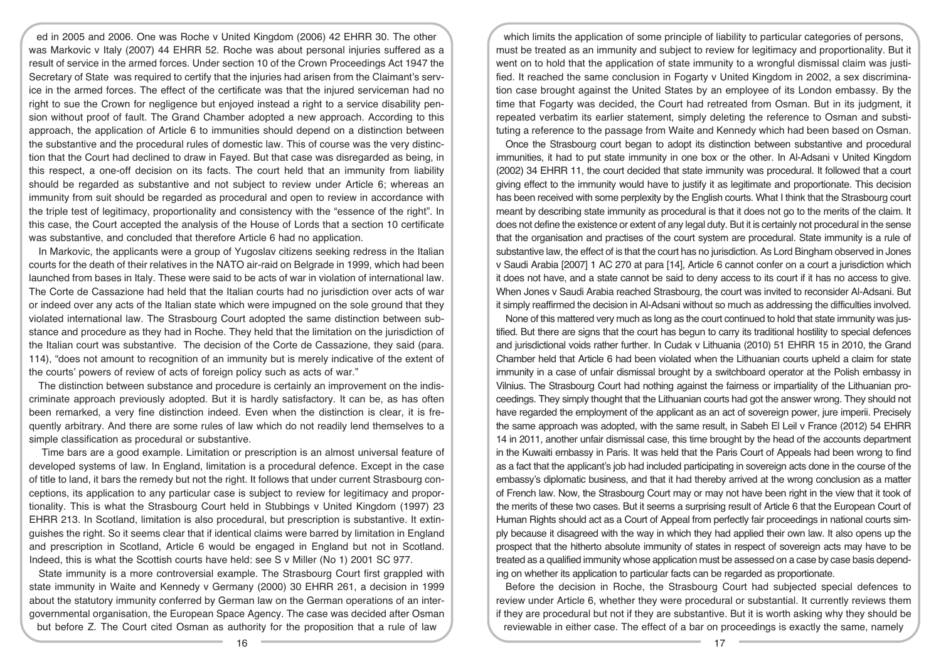ed in 2005 and 2006. One was Roche v United Kingdom (2006) 42 EHRR 30. The other was Markovic v Italy (2007) 44 EHRR 52. Roche was about personal injuries suffered as a result of service in the armed forces. Under section 10 of the Crown Proceedings Act 1947 the Secretary of State was required to certify that the injuries had arisen from the Claimant's service in the armed forces. The effect of the certificate was that the injured serviceman had no right to sue the Crown for negligence but enjoyed instead a right to a service disability pension without proof of fault. The Grand Chamber adopted a new approach. According to this approach, the application of Article 6 to immunities should depend on a distinction between the substantive and the procedural rules of domestic law. This of course was the very distinction that the Court had declined to draw in Fayed. But that case was disregarded as being, in this respect, a one-off decision on its facts. The court held that an immunity from liability should be regarded as substantive and not subject to review under Article 6; whereas an immunity from suit should be regarded as procedural and open to review in accordance with the triple test of legitimacy, proportionality and consistency with the "essence of the right". In this case, the Court accepted the analysis of the House of Lords that a section 10 certificate was substantive, and concluded that therefore Article 6 had no application.

In Markovic, the applicants were a group of Yugoslav citizens seeking redress in the Italian courts for the death of their relatives in the NATO air-raid on Belgrade in 1999, which had been launched from bases in Italy. These were said to be acts of war in violation of international law. The Corte de Cassazione had held that the Italian courts had no jurisdiction over acts of war or indeed over any acts of the Italian state which were impugned on the sole ground that they violated international law. The Strasbourg Court adopted the same distinction between substance and procedure as they had in Roche. They held that the limitation on the jurisdiction of the Italian court was substantive. The decision of the Corte de Cassazione, they said (para. 114), "does not amount to recognition of an immunity but is merely indicative of the extent of the courts' powers of review of acts of foreign policy such as acts of war."

The distinction between substance and procedure is certainly an improvement on the indiscriminate approach previously adopted. But it is hardly satisfactory. It can be, as has often been remarked, a very fine distinction indeed. Even when the distinction is clear, it is frequently arbitrary. And there are some rules of law which do not readily lend themselves to a simple classification as procedural or substantive.

Time bars are a good example. Limitation or prescription is an almost universal feature of developed systems of law. In England, limitation is a procedural defence. Except in the case of title to land, it bars the remedy but not the right. It follows that under current Strasbourg conceptions, its application to any particular case is subject to review for legitimacy and proportionality. This is what the Strasbourg Court held in Stubbings v United Kingdom (1997) 23 EHRR 213. In Scotland, limitation is also procedural, but prescription is substantive. It extinguishes the right. So it seems clear that if identical claims were barred by limitation in England and prescription in Scotland, Article 6 would be engaged in England but not in Scotland. Indeed, this is what the Scottish courts have held: see S v Miller (No 1) 2001 SC 977.

State immunity is a more controversial example. The Strasbourg Court first grappled with state immunity in Waite and Kennedy v Germany (2000) 30 EHRR 261, a decision in 1999 about the statutory immunity conferred by German law on the German operations of an intergovernmental organisation, the European Space Agency. The case was decided after Osman but before Z. The Court cited Osman as authority for the proposition that a rule of law

which limits the application of some principle of liability to particular categories of persons, must be treated as an immunity and subject to review for legitimacy and proportionality. But it went on to hold that the application of state immunity to a wrongful dismissal claim was justified. It reached the same conclusion in Fogarty v United Kingdom in 2002, a sex discrimination case brought against the United States by an employee of its London embassy. By the time that Fogarty was decided, the Court had retreated from Osman. But in its judgment, it repeated verbatim its earlier statement, simply deleting the reference to Osman and substituting a reference to the passage from Waite and Kennedy which had been based on Osman.

Once the Strasbourg court began to adopt its distinction between substantive and procedural immunities, it had to put state immunity in one box or the other. In Al-Adsani v United Kingdom (2002) 34 EHRR 11, the court decided that state immunity was procedural. It followed that a court giving effect to the immunity would have to justify it as legitimate and proportionate. This decision has been received with some perplexity by the English courts. What I think that the Strasbourg court meant by describing state immunity as procedural is that it does not go to the merits of the claim. It does not define the existence or extent of any legal duty. But it is certainly not procedural in the sense that the organisation and practises of the court system are procedural. State immunity is a rule of substantive law, the effect of is that the court has no jurisdiction. As Lord Bingham observed in Jones v Saudi Arabia [2007] 1 AC 270 at para [14], Article 6 cannot confer on a court a jurisdiction which it does not have, and a state cannot be said to deny access to its court if it has no access to give. When Jones v Saudi Arabia reached Strasbourg, the court was invited to reconsider Al-Adsani. But it simply reaffirmed the decision in Al-Adsani without so much as addressing the difficulties involved.

None of this mattered very much as long as the court continued to hold that state immunity was justified. But there are signs that the court has begun to carry its traditional hostility to special defences and jurisdictional voids rather further. In Cudak v Lithuania (2010) 51 EHRR 15 in 2010, the Grand Chamber held that Article 6 had been violated when the Lithuanian courts upheld a claim for state immunity in a case of unfair dismissal brought by a switchboard operator at the Polish embassy in Vilnius. The Strasbourg Court had nothing against the fairness or impartiality of the Lithuanian proceedings. They simply thought that the Lithuanian courts had got the answer wrong. They should not have regarded the employment of the applicant as an act of sovereign power, jure imperii. Precisely the same approach was adopted, with the same result, in Sabeh El Leil v France (2012) 54 EHRR 14 in 2011, another unfair dismissal case, this time brought by the head of the accounts department in the Kuwaiti embassy in Paris. It was held that the Paris Court of Appeals had been wrong to find as a fact that the applicant's job had included participating in sovereign acts done in the course of the embassy's diplomatic business, and that it had thereby arrived at the wrong conclusion as a matter of French law. Now, the Strasbourg Court may or may not have been right in the view that it took of the merits of these two cases. But it seems a surprising result of Article 6 that the European Court of Human Rights should act as a Court of Appeal from perfectly fair proceedings in national courts simply because it disagreed with the way in which they had applied their own law. It also opens up the prospect that the hitherto absolute immunity of states in respect of sovereign acts may have to be treated as a qualified immunity whose application must be assessed on a case by case basis depending on whether its application to particular facts can be regarded as proportionate.

Before the decision in Roche, the Strasbourg Court had subjected special defences to review under Article 6, whether they were procedural or substantial. It currently reviews them if they are procedural but not if they are substantive. But it is worth asking why they should be reviewable in either case. The effect of a bar on proceedings is exactly the same, namely